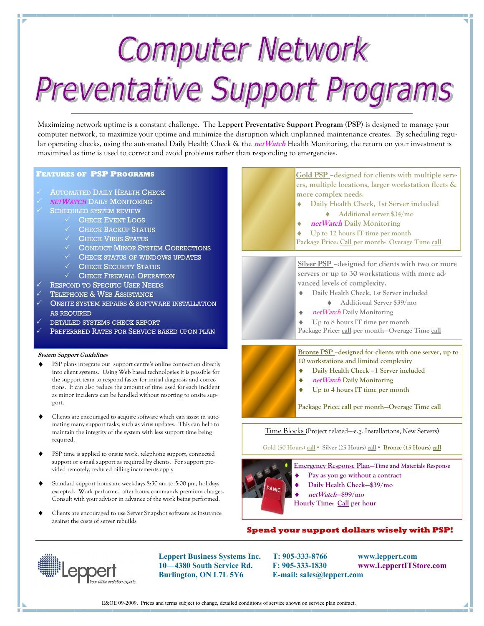# **Computer Network** Preventative Support Programs

Maximizing network uptime is a constant challenge. The **Leppert Preventative Support Program (PSP)** is designed to manage your computer network, to maximize your uptime and minimize the disruption which unplanned maintenance creates. By scheduling regular operating checks, using the automated Daily Health Check & the **netWatch** Health Monitoring, the return on your investment is maximized as time is used to correct and avoid problems rather than responding to emergencies.

#### **FEATURES OF PSP PROGRAMS**

- AUTOMATED DAILY HEALTH CHECK
- *NETWATCH* DAILY MONITORING
- SCHEDULED SYSTEM REVIEW
	- $\checkmark$  CHECK EVENT LOGS
		- CHECK BACKUP STATUS
		- CHECK VIRUS STATUS
		- CONDUCT MINOR SYSTEM CORRECTIONS
		- CHECK STATUS OF WINDOWS UPDATES
		- **CHECK SECURITY STATUS**
		- $\checkmark$  CHECK FIREWALL OPERATION
- RESPOND TO SPECIFIC USER NEEDS
- TELEPHONE & WEB ASSISTANCE
- ONSITE SYSTEM REPAIRS & SOFTWARE INSTALLATION AS REQUIRED
- DETAILED SYSTEMS CHECK REPORT
- PREFERRRED RATES FOR SERVICE BASED UPON PLAN

#### **System Support Guidelines**

- PSP plans integrate our support centre's online connection directly into client systems. Using Web based technologies it is possible for the support team to respond faster for initial diagnosis and corrections. It can also reduce the amount of time used for each incident as minor incidents can be handled without resorting to onsite support.
- Clients are encouraged to acquire software which can assist in automating many support tasks, such as virus updates. This can help to maintain the integrity of the system with less support time being required.
- PSP time is applied to onsite work, telephone support, connected support or e-mail support as required by clients. For support provided remotely, reduced billing increments apply
- Standard support hours are weekdays 8:30 am to 5:00 pm, holidays excepted. Work performed after hours commands premium charges. Consult with your advisor in advance of the work being performed.
- Clients are encouraged to use Server Snapshot software as insurance against the costs of server rebuilds



**Gold PSP –designed for clients with multiple serv-**

- **Daily Health Check, 1st Server included**  $\ddot{\bullet}$ 
	- **Additional Server \$39/mo**
- **netWatch Daily Monitoring**
- **Up to 8 hours IT time per month**

**Package Price: call per month—Overage Time call**

**Bronze PSP –designed for clients with one server, up to 10 workstations and limited complexity**

- **Daily Health Check –1 Server included**
- **netWatch Daily Monitoring**
- $\bullet$ **Up to 4 hours IT time per month**

**Package Price: call per month—Overage Time call**

Time Blocks (Project related—e.g. Installations, New Servers)

**Gold (50 Hours) call • Silver (25 Hours) call • Bronze (15 Hours) call**



**Emergency Response Plan—Time and Materials Response**

- **Pay as you go without a contract**
- **Daily Health Check—\$39/mo**
- **netWatch—\$99/mo Hourly Time: Call per hour**

#### **Spend your support dollars wisely with PSP!**



**Leppert Business Systems Inc. T: 905-333-8766 www.leppert.com 10—4380 South Service Rd. F: 905-333-1830 www.LeppertITStore.com Burlington, ON L7L 5Y6 E-mail: sales@leppert.com**

E&OE 09-2009. Prices and terms subject to change, detailed conditions of service shown on service plan contract.